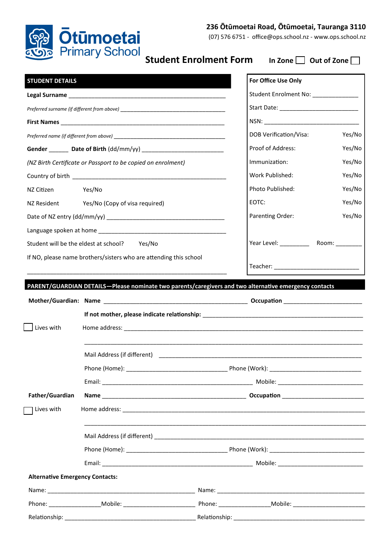

# **236 Ōtūmoetai Road, Ōtūmoetai, Tauranga 3110**

(07) 576 6751 - office@ops.school.nz - www.ops.school.nz

**Student Enrolment Form In Zone Dut of Zone D** 

| <b>STUDENT DETAILS</b>                 |                                                                   | For Office Use Only                                                                                   |        |
|----------------------------------------|-------------------------------------------------------------------|-------------------------------------------------------------------------------------------------------|--------|
|                                        |                                                                   | Student Enrolment No: _______________                                                                 |        |
|                                        |                                                                   |                                                                                                       |        |
|                                        |                                                                   |                                                                                                       |        |
|                                        |                                                                   | DOB Verification/Visa:                                                                                | Yes/No |
|                                        |                                                                   | Proof of Address:                                                                                     | Yes/No |
|                                        | (NZ Birth Certificate or Passport to be copied on enrolment)      | Immunization:                                                                                         | Yes/No |
|                                        |                                                                   | Work Published:                                                                                       | Yes/No |
| NZ Citizen Yes/No                      |                                                                   | Photo Published:                                                                                      | Yes/No |
| NZ Resident                            | Yes/No (Copy of visa required)                                    | EOTC:                                                                                                 | Yes/No |
|                                        |                                                                   | Parenting Order:                                                                                      | Yes/No |
|                                        |                                                                   |                                                                                                       |        |
|                                        | Student will be the eldest at school? Yes/No                      |                                                                                                       |        |
|                                        | If NO, please name brothers/sisters who are attending this school |                                                                                                       |        |
|                                        |                                                                   |                                                                                                       |        |
|                                        |                                                                   | PARENT/GUARDIAN DETAILS-Please nominate two parents/caregivers and two alternative emergency contacts |        |
|                                        |                                                                   |                                                                                                       |        |
| Lives with                             |                                                                   |                                                                                                       |        |
|                                        |                                                                   |                                                                                                       |        |
|                                        | Phone (Home): _______________                                     |                                                                                                       |        |
|                                        |                                                                   |                                                                                                       |        |
| Father/Guardian                        |                                                                   |                                                                                                       |        |
| Lives with                             |                                                                   |                                                                                                       |        |
|                                        |                                                                   |                                                                                                       |        |
|                                        |                                                                   |                                                                                                       |        |
|                                        |                                                                   |                                                                                                       |        |
| <b>Alternative Emergency Contacts:</b> |                                                                   |                                                                                                       |        |
|                                        |                                                                   |                                                                                                       |        |
|                                        |                                                                   |                                                                                                       |        |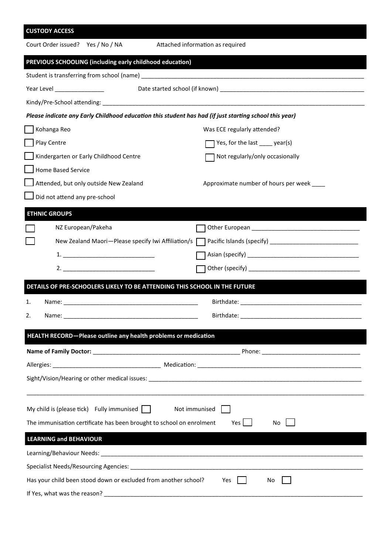| <b>CUSTODY ACCESS</b>                                                                                                                                                                                                          |                                           |
|--------------------------------------------------------------------------------------------------------------------------------------------------------------------------------------------------------------------------------|-------------------------------------------|
| Court Order issued? Yes / No / NA                                                                                                                                                                                              | Attached information as required          |
| PREVIOUS SCHOOLING (including early childhood education)                                                                                                                                                                       |                                           |
|                                                                                                                                                                                                                                |                                           |
| Year Level ________________                                                                                                                                                                                                    |                                           |
| Kindy/Pre-School attending: North and the state of the state of the state of the state of the state of the state of the state of the state of the state of the state of the state of the state of the state of the state of th |                                           |
| Please indicate any Early Childhood education this student has had (if just starting school this year)                                                                                                                         |                                           |
| Kohanga Reo                                                                                                                                                                                                                    | Was ECE regularly attended?               |
| Play Centre                                                                                                                                                                                                                    | Yes, for the last _____ year(s)           |
| Kindergarten or Early Childhood Centre                                                                                                                                                                                         | Not regularly/only occasionally           |
| <b>Home Based Service</b>                                                                                                                                                                                                      |                                           |
| Attended, but only outside New Zealand                                                                                                                                                                                         | Approximate number of hours per week ____ |
| Did not attend any pre-school                                                                                                                                                                                                  |                                           |
| <b>ETHNIC GROUPS</b>                                                                                                                                                                                                           |                                           |
| NZ European/Pakeha                                                                                                                                                                                                             |                                           |
| New Zealand Maori-Please specify Iwi Affiliation/s                                                                                                                                                                             |                                           |
|                                                                                                                                                                                                                                |                                           |
|                                                                                                                                                                                                                                |                                           |
| DETAILS OF PRE-SCHOOLERS LIKELY TO BE ATTENDING THIS SCHOOL IN THE FUTURE                                                                                                                                                      |                                           |
| 1.                                                                                                                                                                                                                             |                                           |
| 2.                                                                                                                                                                                                                             |                                           |
| HEALTH RECORD-Please outline any health problems or medication                                                                                                                                                                 |                                           |
|                                                                                                                                                                                                                                |                                           |
|                                                                                                                                                                                                                                |                                           |
|                                                                                                                                                                                                                                |                                           |
|                                                                                                                                                                                                                                |                                           |
| My child is (please tick) Fully immunised $\Box$                                                                                                                                                                               | Not immunised                             |
| The immunisation certificate has been brought to school on enrolment                                                                                                                                                           | <b>Yes</b><br>No                          |
| <b>LEARNING and BEHAVIOUR</b>                                                                                                                                                                                                  |                                           |
|                                                                                                                                                                                                                                |                                           |
|                                                                                                                                                                                                                                |                                           |
| Has your child been stood down or excluded from another school?                                                                                                                                                                | Yes<br>No                                 |
|                                                                                                                                                                                                                                |                                           |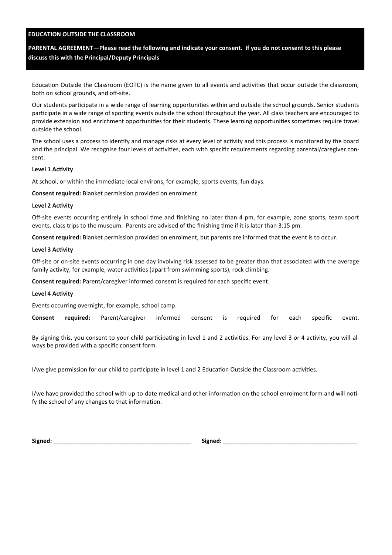## **EDUCATION OUTSIDE THE CLASSROOM**

**PARENTAL AGREEMENT—Please read the following and indicate your consent. If you do not consent to this please discuss this with the Principal/Deputy Principals**

Education Outside the Classroom (EOTC) is the name given to all events and activities that occur outside the classroom, both on school grounds, and off-site.

Our students participate in a wide range of learning opportunities within and outside the school grounds. Senior students participate in a wide range of sporting events outside the school throughout the year. All class teachers are encouraged to provide extension and enrichment opportunities for their students. These learning opportunities sometimes require travel outside the school.

The school uses a process to identify and manage risks at every level of activity and this process is monitored by the board and the principal. We recognise four levels of activities, each with specific requirements regarding parental/caregiver consent.

#### **Level 1 Activity**

At school, or within the immediate local environs, for example, sports events, fun days.

**Consent required:** Blanket permission provided on enrolment.

#### **Level 2 Activity**

Off-site events occurring entirely in school time and finishing no later than 4 pm, for example, zone sports, team sport events, class trips to the museum. Parents are advised of the finishing time if it is later than 3:15 pm.

**Consent required:** Blanket permission provided on enrolment, but parents are informed that the event is to occur.

#### **Level 3 Activity**

Off-site or on-site events occurring in one day involving risk assessed to be greater than that associated with the average family activity, for example, water activities (apart from swimming sports), rock climbing.

**Consent required:** Parent/caregiver informed consent is required for each specific event.

#### **Level 4 Activity**

Events occurring overnight, for example, school camp.

**Consent required:** Parent/caregiver informed consent is required for each specific event.

By signing this, you consent to your child participating in level 1 and 2 activities. For any level 3 or 4 activity, you will always be provided with a specific consent form.

I/we give permission for our child to participate in level 1 and 2 Education Outside the Classroom activities.

I/we have provided the school with up-to-date medical and other information on the school enrolment form and will notify the school of any changes to that information.

**Signed:** \_\_\_\_\_\_\_\_\_\_\_\_\_\_\_\_\_\_\_\_\_\_\_\_\_\_\_\_\_\_\_\_\_\_\_\_\_\_\_\_\_\_ **Signed:** \_\_\_\_\_\_\_\_\_\_\_\_\_\_\_\_\_\_\_\_\_\_\_\_\_\_\_\_\_\_\_\_\_\_\_\_\_\_\_\_\_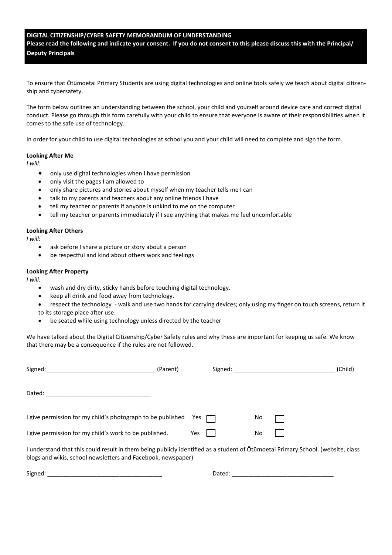# **DIGITAL CITIZENSHIP/CYBER SAFETY MEMORANDUM OF UNDERSTANDING Please read the following and indicate your consent. If you do not consent to this please discuss this with the Principal/ Deputy Principals**

To ensure that Ōtūmoetai Primary Students are using digital technologies and online tools safely we teach about digital citizenship and cybersafety.

The form below outlines an understanding between the school, your child and yourself around device care and correct digital conduct. Please go through this form carefully with your child to ensure that everyone is aware of their responsibilities when it comes to the safe use of technology.

In order for your child to use digital technologies at school you and your child will need to complete and sign the form.

## **Looking After Me**

*I will:*

- only use digital technologies when I have permission
- only visit the pages I am allowed to
- only share pictures and stories about myself when my teacher tells me I can
- talk to my parents and teachers about any online friends I have
- tell my teacher or parents if anyone is unkind to me on the computer
- tell my teacher or parents immediately if I see anything that makes me feel uncomfortable

## **Looking After Others**

*I will:*

- ask before I share a picture or story about a person
- be respectful and kind about others work and feelings

## **Looking After Property**

*I will:*

- wash and dry dirty, sticky hands before touching digital technology.
- keep all drink and food away from technology.
- respect the technology walk and use two hands for carrying devices; only using my finger on touch screens, return it to its storage place after use.
- be seated while using technology unless directed by the teacher

We have talked about the Digital Citizenship/Cyber Safety rules and why these are important for keeping us safe. We know that there may be a consequence if the rules are not followed.

| Signed: the contract of the contract of the contract of the contract of the contract of the contract of the contract of the contract of the contract of the contract of the contract of the contract of the contract of the co | (Parent) |     |     | Signed: the contract of the contract of the contract of the contract of the contract of the contract of the contract of the contract of the contract of the contract of the contract of the contract of the contract of the co | (Child) |
|--------------------------------------------------------------------------------------------------------------------------------------------------------------------------------------------------------------------------------|----------|-----|-----|--------------------------------------------------------------------------------------------------------------------------------------------------------------------------------------------------------------------------------|---------|
| Dated:                                                                                                                                                                                                                         |          |     |     |                                                                                                                                                                                                                                |         |
| I give permission for my child's photograph to be published Yes                                                                                                                                                                |          |     | No. |                                                                                                                                                                                                                                |         |
| I give permission for my child's work to be published.                                                                                                                                                                         |          | Yes | No  |                                                                                                                                                                                                                                |         |
| I understand that this could result in them being publicly identified as a student of Otūmoetai Primary School. (website, class                                                                                                |          |     |     |                                                                                                                                                                                                                                |         |

I understand that this could result in them being publicly identified as a student of Ōtūmoetai Primary School. (website, class blogs and wikis, school newsletters and Facebook, newspaper)

Signed: \_\_\_\_\_\_\_\_\_\_\_\_\_\_\_\_\_\_\_\_\_\_\_\_\_\_\_\_\_\_\_\_\_\_\_ Dated: \_\_\_\_\_\_\_\_\_\_\_\_\_\_\_\_\_\_\_\_\_\_\_\_\_\_\_\_\_\_\_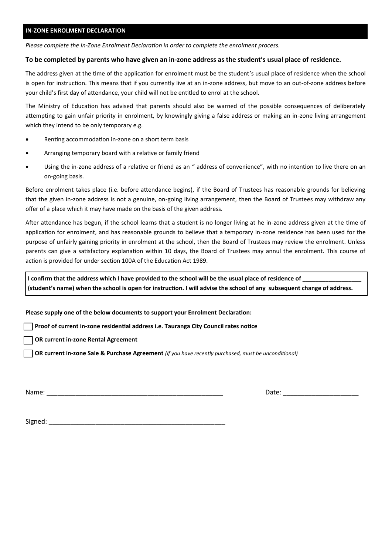## **IN-ZONE ENROLMENT DECLARATION**

*Please complete the In-Zone Enrolment Declaration in order to complete the enrolment process.*

#### **To be completed by parents who have given an in-zone address as the student's usual place of residence.**

The address given at the time of the application for enrolment must be the student's usual place of residence when the school is open for instruction. This means that if you currently live at an in-zone address, but move to an out-of-zone address before your child's first day of attendance, your child will not be entitled to enrol at the school.

The Ministry of Education has advised that parents should also be warned of the possible consequences of deliberately attempting to gain unfair priority in enrolment, by knowingly giving a false address or making an in-zone living arrangement which they intend to be only temporary e.g.

- Renting accommodation in-zone on a short term basis
- Arranging temporary board with a relative or family friend
- Using the in-zone address of a relative or friend as an " address of convenience", with no intention to live there on an on-going basis.

Before enrolment takes place (i.e. before attendance begins), if the Board of Trustees has reasonable grounds for believing that the given in-zone address is not a genuine, on-going living arrangement, then the Board of Trustees may withdraw any offer of a place which it may have made on the basis of the given address.

After attendance has begun, if the school learns that a student is no longer living at he in-zone address given at the time of application for enrolment, and has reasonable grounds to believe that a temporary in-zone residence has been used for the purpose of unfairly gaining priority in enrolment at the school, then the Board of Trustees may review the enrolment. Unless parents can give a satisfactory explanation within 10 days, the Board of Trustees may annul the enrolment. This course of action is provided for under section 100A of the Education Act 1989.

I confirm that the address which I have provided to the school will be the usual place of residence of \_ **(student's name) when the school is open for instruction. I will advise the school of any subsequent change of address.**

**Please supply one of the below documents to support your Enrolment Declaration:**

**Proof of current in-zone residential address i.e. Tauranga City Council rates notice**

**OR current in-zone Rental Agreement**

**OR current in-zone Sale & Purchase Agreement** *(if you have recently purchased, must be unconditional)*

Name: \_\_\_\_\_\_\_\_\_\_\_\_\_\_\_\_\_\_\_\_\_\_\_\_\_\_\_\_\_\_\_\_\_\_\_\_\_\_\_\_\_\_\_\_\_\_\_\_\_ Date: \_\_\_\_\_\_\_\_\_\_\_\_\_\_\_\_\_\_\_\_\_

Signed: \_\_\_\_\_\_\_\_\_\_\_\_\_\_\_\_\_\_\_\_\_\_\_\_\_\_\_\_\_\_\_\_\_\_\_\_\_\_\_\_\_\_\_\_\_\_\_\_\_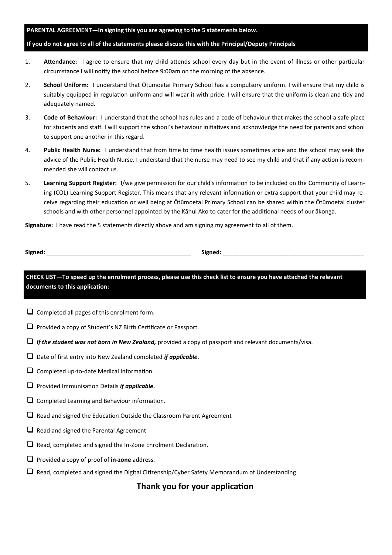**PARENTAL AGREEMENT—In signing this you are agreeing to the 5 statements below.** 

#### **If you do not agree to all of the statements please discuss this with the Principal/Deputy Principals**

- 1. **Attendance:** I agree to ensure that my child attends school every day but in the event of illness or other particular circumstance I will notify the school before 9:00am on the morning of the absence.
- 2. **School Uniform:** I understand that Ōtūmoetai Primary School has a compulsory uniform. I will ensure that my child is suitably equipped in regulation uniform and will wear it with pride. I will ensure that the uniform is clean and tidy and adequately named.
- 3. **Code of Behaviour:** I understand that the school has rules and a code of behaviour that makes the school a safe place for students and staff. I will support the school's behaviour initiatives and acknowledge the need for parents and school to support one another in this regard.
- 4. **Public Health Nurse:** I understand that from time to time health issues sometimes arise and the school may seek the advice of the Public Health Nurse. I understand that the nurse may need to see my child and that if any action is recommended she will contact us.
- 5. **Learning Support Register:** I/we give permission for our child's information to be included on the Community of Learning (COL) Learning Support Register. This means that any relevant information or extra support that your child may receive regarding their education or well being at Ōtūmoetai Primary School can be shared within the Ōtūmoetai cluster schools and with other personnel appointed by the Kāhui Ako to cater for the additional needs of our ākonga.

**Signature:** I have read the 5 statements directly above and am signing my agreement to all of them.

**Signed:** \_\_\_\_\_\_\_\_\_\_\_\_\_\_\_\_\_\_\_\_\_\_\_\_\_\_\_\_\_\_\_\_\_\_\_\_\_\_\_\_\_\_\_\_ **Signed:** \_\_\_\_\_\_\_\_\_\_\_\_\_\_\_\_\_\_\_\_\_\_\_\_\_\_\_\_\_\_\_\_\_\_\_\_\_\_\_\_\_\_\_

**CHECK LIST—To speed up the enrolment process, please use this check list to ensure you have attached the relevant documents to this application:**

- ❑ Completed all pages of this enrolment form.
- □ Provided a copy of Student's NZ Birth Certificate or Passport.
- ❑ *If the student was not born in New Zealand,* provided a copy of passport and relevant documents/visa.
- ❑ Date of first entry into New Zealand completed *if applicable*.
- ❑ Completed up-to-date Medical Information.
- ❑ Provided Immunisation Details *if applicable*.
- ❑ Completed Learning and Behaviour information.
- ❑ Read and signed the Education Outside the Classroom Parent Agreement
- ❑ Read and signed the Parental Agreement
- ❑ Read, completed and signed the In-Zone Enrolment Declaration.
- ❑ Provided a copy of proof of **in-zone** address.
- ❑ Read, completed and signed the Digital Citizenship/Cyber Safety Memorandum of Understanding

**Thank you for your application**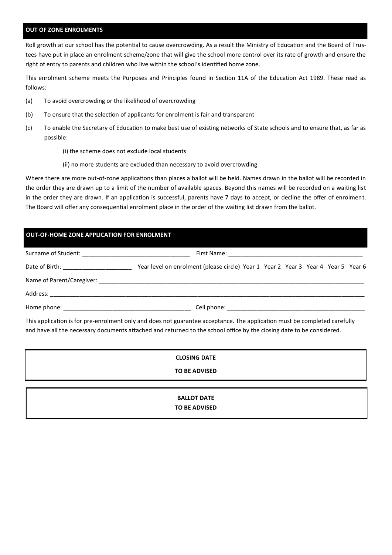## **OUT OF ZONE ENROLMENTS**

Roll growth at our school has the potential to cause overcrowding. As a result the Ministry of Education and the Board of Trustees have put in place an enrolment scheme/zone that will give the school more control over its rate of growth and ensure the right of entry to parents and children who live within the school's identified home zone.

This enrolment scheme meets the Purposes and Principles found in Section 11A of the Education Act 1989. These read as follows:

- (a) To avoid overcrowding or the likelihood of overcrowding
- (b) To ensure that the selection of applicants for enrolment is fair and transparent
- (c) To enable the Secretary of Education to make best use of existing networks of State schools and to ensure that, as far as possible:

(i) the scheme does not exclude local students

(ii) no more students are excluded than necessary to avoid overcrowding

Where there are more out-of-zone applications than places a ballot will be held. Names drawn in the ballot will be recorded in the order they are drawn up to a limit of the number of available spaces. Beyond this names will be recorded on a waiting list in the order they are drawn. If an application is successful, parents have 7 days to accept, or decline the offer of enrolment. The Board will offer any consequential enrolment place in the order of the waiting list drawn from the ballot.

## **OUT-OF-HOME ZONE APPLICATION FOR ENROLMENT**

|                                                                                                                         | Year level on enrolment (please circle) Year 1 Year 2 Year 3 Year 4 Year 5 Year 6 |  |  |  |  |
|-------------------------------------------------------------------------------------------------------------------------|-----------------------------------------------------------------------------------|--|--|--|--|
|                                                                                                                         |                                                                                   |  |  |  |  |
|                                                                                                                         |                                                                                   |  |  |  |  |
|                                                                                                                         |                                                                                   |  |  |  |  |
| This application is for area oprolment only and does not quarantee assessment a paplication must be completed sarefully |                                                                                   |  |  |  |  |

This application is for pre-enrolment only and does not guarantee acceptance. The application must be completed carefully and have all the necessary documents attached and returned to the school office by the closing date to be considered.

## **CLOSING DATE**

**TO BE ADVISED**

## **BALLOT DATE TO BE ADVISED**